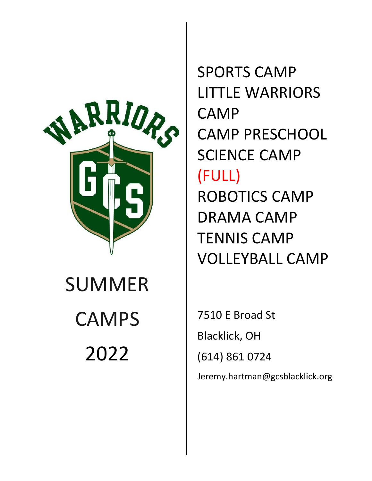

# SUMMER **CAMPS** 2022

SPORTS CAMP LITTLE WARRIORS CAMP CAMP PRESCHOOL SCIENCE CAMP (FULL) ROBOTICS CAMP DRAMA CAMP TENNIS CAMP VOLLEYBALL CAMP

7510 E Broad St Blacklick, OH (614) 861 0724 Jeremy.hartman@gcsblacklick.org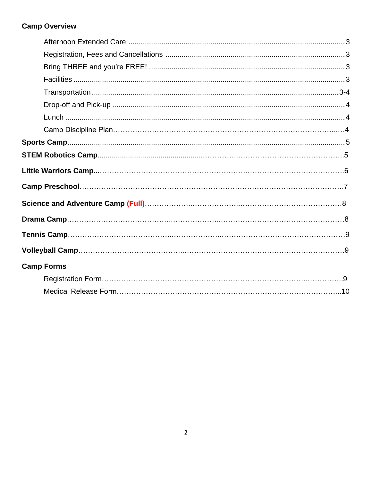# **Camp Overview**

| <b>Camp Forms</b> |  |
|-------------------|--|
|                   |  |
|                   |  |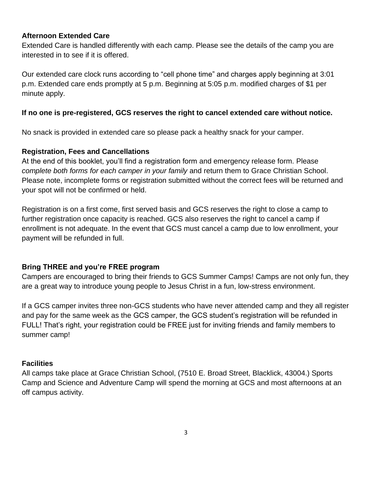### **Afternoon Extended Care**

Extended Care is handled differently with each camp. Please see the details of the camp you are interested in to see if it is offered.

Our extended care clock runs according to "cell phone time" and charges apply beginning at 3:01 p.m. Extended care ends promptly at 5 p.m. Beginning at 5:05 p.m. modified charges of \$1 per minute apply.

## **If no one is pre-registered, GCS reserves the right to cancel extended care without notice.**

No snack is provided in extended care so please pack a healthy snack for your camper.

### **Registration, Fees and Cancellations**

At the end of this booklet, you'll find a registration form and emergency release form. Please *complete both forms for each camper in your family* and return them to Grace Christian School. Please note, incomplete forms or registration submitted without the correct fees will be returned and your spot will not be confirmed or held.

Registration is on a first come, first served basis and GCS reserves the right to close a camp to further registration once capacity is reached. GCS also reserves the right to cancel a camp if enrollment is not adequate. In the event that GCS must cancel a camp due to low enrollment, your payment will be refunded in full.

### **Bring THREE and you're FREE program**

Campers are encouraged to bring their friends to GCS Summer Camps! Camps are not only fun, they are a great way to introduce young people to Jesus Christ in a fun, low-stress environment.

If a GCS camper invites three non-GCS students who have never attended camp and they all register and pay for the same week as the GCS camper, the GCS student's registration will be refunded in FULL! That's right, your registration could be FREE just for inviting friends and family members to summer camp!

### **Facilities**

All camps take place at Grace Christian School, (7510 E. Broad Street, Blacklick, 43004.) Sports Camp and Science and Adventure Camp will spend the morning at GCS and most afternoons at an off campus activity.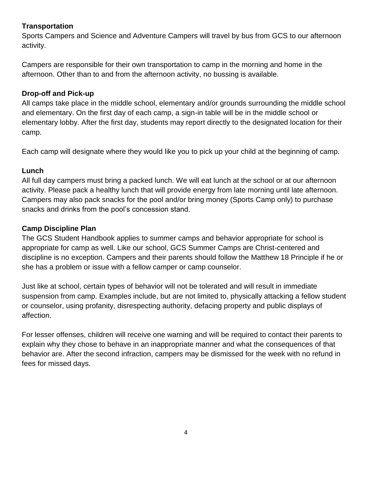# **Transportation**

Sports Campers and Science and Adventure Campers will travel by bus from GCS to our afternoon activity.

Campers are responsible for their own transportation to camp in the morning and home in the afternoon. Other than to and from the afternoon activity, no bussing is available.

# **Drop-off and Pick-up**

All camps take place in the middle school, elementary and/or grounds surrounding the middle school and elementary. On the first day of each camp, a sign-in table will be in the middle school or elementary lobby. After the first day, students may report directly to the designated location for their camp.

Each camp will designate where they would like you to pick up your child at the beginning of camp.

# **Lunch**

All full day campers must bring a packed lunch. We will eat lunch at the school or at our afternoon activity. Please pack a healthy lunch that will provide energy from late morning until late afternoon. Campers may also pack snacks for the pool and/or bring money (Sports Camp only) to purchase snacks and drinks from the pool's concession stand.

# **Camp Discipline Plan**

The GCS Student Handbook applies to summer camps and behavior appropriate for school is appropriate for camp as well. Like our school, GCS Summer Camps are Christ-centered and discipline is no exception. Campers and their parents should follow the Matthew 18 Principle if he or she has a problem or issue with a fellow camper or camp counselor.

Just like at school, certain types of behavior will not be tolerated and will result in immediate suspension from camp. Examples include, but are not limited to, physically attacking a fellow student or counselor, using profanity, disrespecting authority, defacing property and public displays of affection.

For lesser offenses, children will receive one warning and will be required to contact their parents to explain why they chose to behave in an inappropriate manner and what the consequences of that behavior are. After the second infraction, campers may be dismissed for the week with no refund in fees for missed days.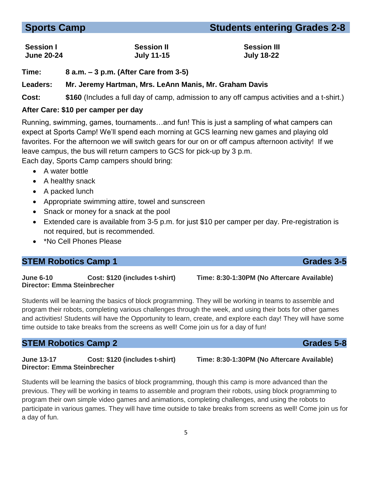#### 5

# **Sports Camp** Students entering Grades 2-8

# **Session I Session II Session III June 20-24 July 11-15 July 18-22**

**Time: 8 a.m. – 3 p.m. (After Care from 3-5)**

# **Leaders: Mr. Jeremy Hartman, Mrs. LeAnn Manis, Mr. Graham Davis**

**Cost: \$160** (Includes a full day of camp, admission to any off campus activities and a t-shirt.)

# **After Care: \$10 per camper per day**

Running, swimming, games, tournaments…and fun! This is just a sampling of what campers can expect at Sports Camp! We'll spend each morning at GCS learning new games and playing old favorites. For the afternoon we will switch gears for our on or off campus afternoon activity! If we leave campus, the bus will return campers to GCS for pick-up by 3 p.m.

Each day, Sports Camp campers should bring:

- A water bottle
- A healthy snack
- A packed lunch
- Appropriate swimming attire, towel and sunscreen
- Snack or money for a snack at the pool
- Extended care is available from 3-5 p.m. for just \$10 per camper per day. Pre-registration is not required, but is recommended.
- \*No Cell Phones Please

# **STEM Robotics Camp 1** Grades 3-5

**June 6-10 Cost: \$120 (includes t-shirt) Time: 8:30-1:30PM (No Aftercare Available) Director: Emma Steinbrecher**

Students will be learning the basics of block programming. They will be working in teams to assemble and program their robots, completing various challenges through the week, and using their bots for other games and activities! Students will have the Opportunity to learn, create, and explore each day! They will have some time outside to take breaks from the screens as well! Come join us for a day of fun!

# **STEM Robotics Camp 2** Grades 5-8

**June 13-17 Cost: \$120 (includes t-shirt) Time: 8:30-1:30PM (No Aftercare Available) Director: Emma Steinbrecher**

Students will be learning the basics of block programming, though this camp is more advanced than the previous. They will be working in teams to assemble and program their robots, using block programming to program their own simple video games and animations, completing challenges, and using the robots to participate in various games. They will have time outside to take breaks from screens as well! Come join us for a day of fun.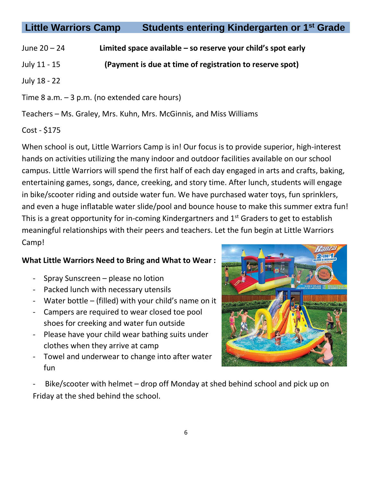# **Little Warriors Camp Students entering Kindergarten or 1st Grade**

- June 20 24 **Limited space available – so reserve your child's spot early**
- July 11 15 **(Payment is due at time of registration to reserve spot)**

July 18 - 22

Time 8 a.m. – 3 p.m. (no extended care hours)

Teachers – Ms. Graley, Mrs. Kuhn, Mrs. McGinnis, and Miss Williams

# Cost - \$175

When school is out, Little Warriors Camp is in! Our focus is to provide superior, high-interest hands on activities utilizing the many indoor and outdoor facilities available on our school campus. Little Warriors will spend the first half of each day engaged in arts and crafts, baking, entertaining games, songs, dance, creeking, and story time. After lunch, students will engage in bike/scooter riding and outside water fun. We have purchased water toys, fun sprinklers, and even a huge inflatable water slide/pool and bounce house to make this summer extra fun! This is a great opportunity for in-coming Kindergartners and  $1<sup>st</sup>$  Graders to get to establish meaningful relationships with their peers and teachers. Let the fun begin at Little Warriors Camp!

# **What Little Warriors Need to Bring and What to Wear :**

- Spray Sunscreen please no lotion
- Packed lunch with necessary utensils
- Water bottle (filled) with your child's name on it
- Campers are required to wear closed toe pool shoes for creeking and water fun outside
- Please have your child wear bathing suits under clothes when they arrive at camp
- Towel and underwear to change into after water fun



Bike/scooter with helmet – drop off Monday at shed behind school and pick up on Friday at the shed behind the school.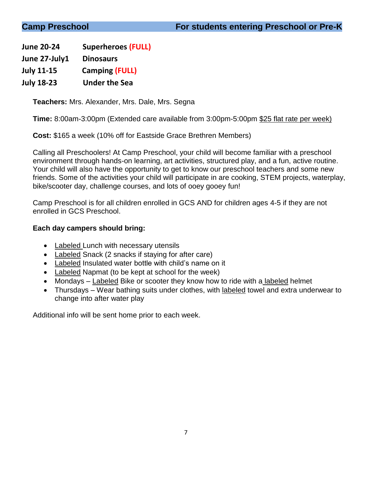**June 20-24 Superheroes (FULL)**

**June 27-July1 Dinosaurs**

**July 11-15 Camping (FULL)**

**July 18-23 Under the Sea**

**Teachers:** Mrs. Alexander, Mrs. Dale, Mrs. Segna

**Time:** 8:00am-3:00pm (Extended care available from 3:00pm-5:00pm \$25 flat rate per week)

**Cost:** \$165 a week (10% off for Eastside Grace Brethren Members)

Calling all Preschoolers! At Camp Preschool, your child will become familiar with a preschool environment through hands-on learning, art activities, structured play, and a fun, active routine. Your child will also have the opportunity to get to know our preschool teachers and some new friends. Some of the activities your child will participate in are cooking, STEM projects, waterplay, bike/scooter day, challenge courses, and lots of ooey gooey fun!

Camp Preschool is for all children enrolled in GCS AND for children ages 4-5 if they are not enrolled in GCS Preschool.

# **Each day campers should bring:**

- Labeled Lunch with necessary utensils
- Labeled Snack (2 snacks if staying for after care)
- Labeled Insulated water bottle with child's name on it
- Labeled Napmat (to be kept at school for the week)
- Mondays Labeled Bike or scooter they know how to ride with a labeled helmet
- Thursdays Wear bathing suits under clothes, with labeled towel and extra underwear to change into after water play

Additional info will be sent home prior to each week.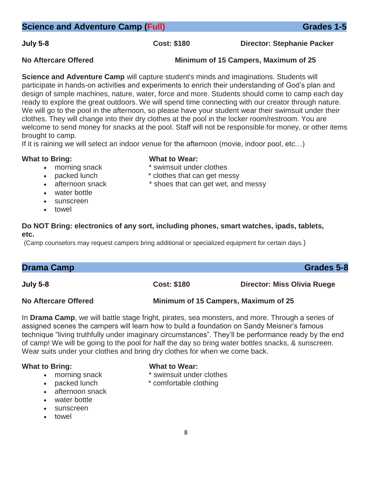**July 5-8 Cost: \$180 Director: Stephanie Packer**

### **No Aftercare Offered Minimum of 15 Campers, Maximum of 25**

**Science and Adventure Camp** will capture student's minds and imaginations. Students will participate in hands-on activities and experiments to enrich their understanding of God's plan and design of simple machines, nature, water, force and more. Students should come to camp each day ready to explore the great outdoors. We will spend time connecting with our creator through nature. We will go to the pool in the afternoon, so please have your student wear their swimsuit under their clothes. They will change into their dry clothes at the pool in the locker room/restroom. You are welcome to send money for snacks at the pool. Staff will not be responsible for money, or other items brought to camp.

If it is raining we will select an indoor venue for the afternoon (movie, indoor pool, etc…)

### **What to Bring: What to Wear:**

- 
- morning snack  $*$  swimsuit under clothes
- packed lunch  $\bullet$  to ches that can get messy
- afternoon snack \* shoes that can get wet, and messy
- water bottle
- sunscreen
- towel

# **Do NOT Bring: electronics of any sort, including phones, smart watches, ipads, tablets, etc.**

(Camp counselors may request campers bring additional or specialized equipment for certain days.)

| <b>Drama Camp</b> | Grades 5-8 |
|-------------------|------------|
|                   |            |

**July 5-8 Cost: \$180 Director: Miss Olivia Ruege**

**No Aftercare Offered Minimum of 15 Campers, Maximum of 25**

In **Drama Camp**, we will battle stage fright, pirates, sea monsters, and more. Through a series of assigned scenes the campers will learn how to build a foundation on Sandy Meisner's famous technique "living truthfully under imaginary circumstances". They'll be performance ready by the end of camp! We will be going to the pool for half the day so bring water bottles snacks, & sunscreen. Wear suits under your clothes and bring dry clothes for when we come back.

# **What to Bring: What to Wear:**

- 
- 
- afternoon snack
- water bottle
- sunscreen
- towel

- morning snack  $*$  swimsuit under clothes
- packed lunch  $*$  comfortable clothing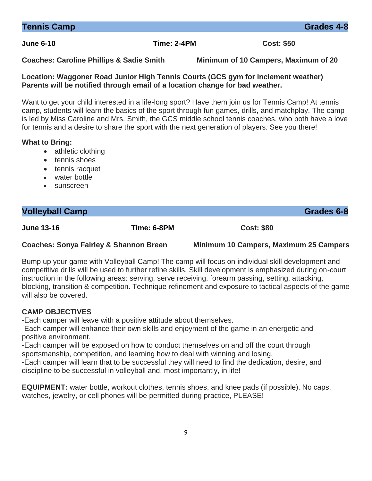**Location: Waggoner Road Junior High Tennis Courts (GCS gym for inclement weather)**

Want to get your child interested in a life-long sport? Have them join us for Tennis Camp! At tennis camp, students will learn the basics of the sport through fun games, drills, and matchplay. The camp is led by Miss Caroline and Mrs. Smith, the GCS middle school tennis coaches, who both have a love for tennis and a desire to share the sport with the next generation of players. See you there!

### **What to Bring:**

- athletic clothing
- tennis shoes
- tennis racquet
- water bottle
- sunscreen

#### **Volleyball Camp** Grades 6-8

**June 13-16 Time: 6-8PM Cost: \$80** 

**Coaches: Sonya Fairley & Shannon Breen Minimum 10 Campers, Maximum 25 Campers**

Bump up your game with Volleyball Camp! The camp will focus on individual skill development and competitive drills will be used to further refine skills. Skill development is emphasized during on-court instruction in the following areas: serving, serve receiving, forearm passing, setting, attacking, blocking, transition & competition. Technique refinement and exposure to tactical aspects of the game will also be covered.

#### **CAMP OBJECTIVES**

-Each camper will leave with a positive attitude about themselves.

-Each camper will enhance their own skills and enjoyment of the game in an energetic and positive environment.

-Each camper will be exposed on how to conduct themselves on and off the court through sportsmanship, competition, and learning how to deal with winning and losing.

-Each camper will learn that to be successful they will need to find the dedication, desire, and discipline to be successful in volleyball and, most importantly, in life!

**EQUIPMENT:** water bottle, workout clothes, tennis shoes, and knee pads (if possible). No caps, watches, jewelry, or cell phones will be permitted during practice, PLEASE!

**Tennis Camp** Grades 4-8

**Parents will be notified through email of a location change for bad weather.**

**June 6-10 Time: 2-4PM Cost: \$50** 

**Coaches: Caroline Phillips & Sadie Smith Minimum of 10 Campers, Maximum of 20**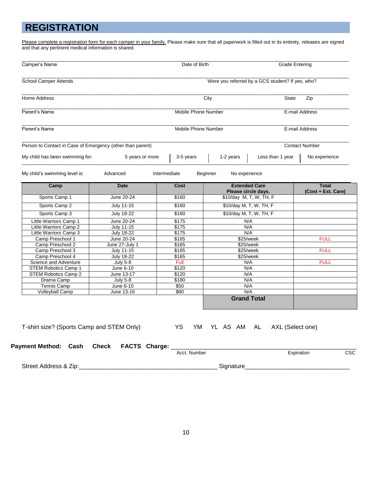# **REGISTRATION**

Please complete a registration form for each camper in your family. Please make sure that all paperwork is filled out in its entirety, releases are signed and that any pertinent medical information is shared.

| Camper's Name                                              |                                        |                                                  | Date of Birth<br><b>Grade Entering</b>         |                  |                                    |
|------------------------------------------------------------|----------------------------------------|--------------------------------------------------|------------------------------------------------|------------------|------------------------------------|
| School Camper Attends                                      |                                        | Were you referred by a GCS student? If yes, who? |                                                |                  |                                    |
| <b>Home Address</b>                                        |                                        |                                                  | City<br><b>State</b>                           |                  | Zip                                |
| Parent's Name                                              |                                        |                                                  | Mobile Phone Number                            |                  | E-mail Address                     |
| Parent's Name                                              |                                        | Mobile Phone Number                              |                                                |                  | E-mail Address                     |
| Person to Contact in Case of Emergency (other than parent) |                                        |                                                  |                                                |                  | <b>Contact Number</b>              |
| My child has been swimming for:                            | 5 years or more                        | 3-5 years                                        | 1-2 years                                      | Less than 1 year | No experience                      |
| My child's swimming level is:                              | Advanced                               | Intermediate                                     | Beginner<br>No experience                      |                  |                                    |
| Camp                                                       | <b>Date</b>                            | Cost                                             | <b>Extended Care</b>                           |                  | <b>Total</b><br>(Cost + Ext. Care) |
| Sports Camp 1                                              | June 20-24                             | \$160                                            | Please circle days.<br>\$10/day M, T, W, TH, F |                  |                                    |
| Sports Camp 2                                              | July 11-15                             | \$160                                            | \$10/day M, T, W, TH, F                        |                  |                                    |
|                                                            |                                        |                                                  |                                                |                  |                                    |
| Sports Camp 3                                              | <b>July 18-22</b>                      | \$160                                            | \$10/day M, T, W, TH, F                        |                  |                                    |
| Little Warriors Camp 1                                     | June 20-24                             | \$175                                            | N/A                                            |                  |                                    |
| Little Warriors Camp 2<br>Little Warriors Camp 3           | <b>July 11-15</b><br><b>July 18-22</b> | \$175<br>\$175                                   | N/A<br>N/A                                     |                  |                                    |
| Camp Preschool 1                                           | June 20-24                             | \$165                                            | \$25/week                                      |                  | <b>FULL</b>                        |
| Camp Preschool 2                                           | June 27-July 1                         | \$165                                            | \$25/week                                      |                  |                                    |
| Camp Preschool 3                                           | <b>July 11-15</b>                      | \$165                                            | \$25/week                                      |                  | <b>FULL</b>                        |
| Camp Preschool 4                                           | <b>July 18-22</b>                      | \$165                                            | \$25/week                                      |                  |                                    |
| Science and Adventure                                      | July 5-8                               | Full                                             | N/A                                            |                  | <b>FULL</b>                        |
| STEM Robotics Camp 1                                       | June 6-10                              | \$120                                            | N/A                                            |                  |                                    |
| STEM Robotics Camp 2                                       | June 13-17                             | \$120                                            | N/A                                            |                  |                                    |
| Drama Camp                                                 | <b>July 5-8</b>                        | \$180                                            | N/A                                            |                  |                                    |
| <b>Tennis Camp</b>                                         | June 6-10                              | \$50                                             | N/A                                            |                  |                                    |
| Volleyball Camp                                            | June 13-16                             | \$80                                             | N/A                                            |                  |                                    |
|                                                            |                                        |                                                  | <b>Grand Total</b>                             |                  |                                    |
| T-shirt size? (Sports Camp and STEM Only)                  |                                        | YS                                               | YM YL AS AM AL                                 | AXL (Select one) |                                    |
| <b>Payment Method: Cash</b>                                | <b>Check</b><br>FACTS Charge:          | Acct. Number                                     |                                                |                  | Expiration                         |
|                                                            |                                        |                                                  |                                                |                  |                                    |
| Street Address & Zip:                                      |                                        |                                                  | Signature                                      |                  |                                    |